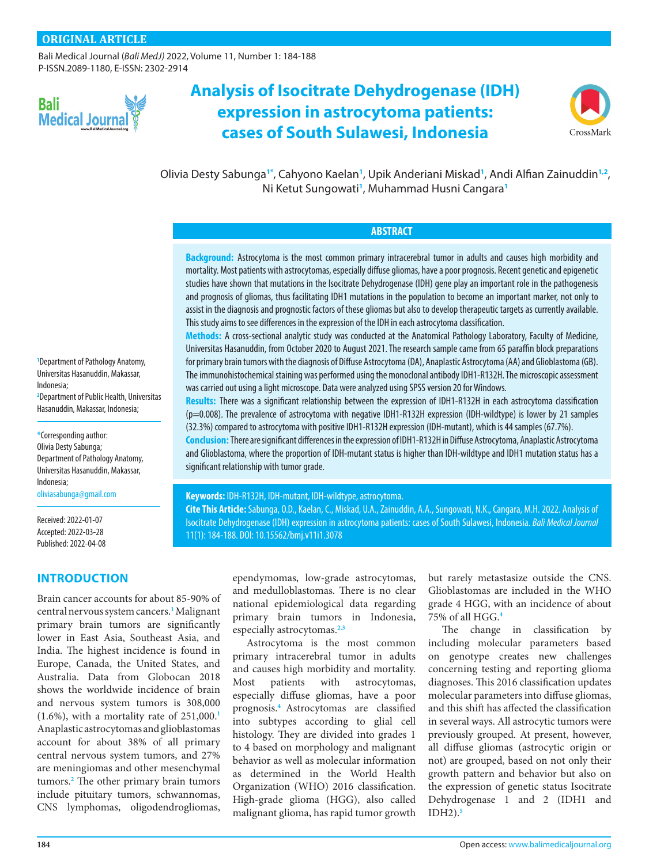[Bali Medical Journal](http://www.balimedicaljournal.org/) (*Bali MedJ)* 2022, Volume 11, Number 1: 184-188 P-ISSN.2089-1180, E-ISSN: 2302-2914



# **Analysis of Isocitrate Dehydrogenase (IDH) expression in astrocytoma patients: cases of South Sulawesi, Indonesia**



Olivia Desty Sabunga**[1](#page-0-0)[\\*](#page-0-1)** , Cahyono Kaelan**[1](#page-0-0)** , Upik Anderiani Miskad**[1](#page-0-0)** , Andi Alfian Zainuddin**[1](#page-0-0)[,2](#page-0-2)** , Ni Ketut Sungowati**[1](#page-0-0)** , Muhammad Husni Cangara**[1](#page-0-0)**

#### **ABSTRACT**

**Background:** Astrocytoma is the most common primary intracerebral tumor in adults and causes high morbidity and mortality. Most patients with astrocytomas, especially diffuse gliomas, have a poor prognosis. Recent genetic and epigenetic studies have shown that mutations in the Isocitrate Dehydrogenase (IDH) gene play an important role in the pathogenesis and prognosis of gliomas, thus facilitating IDH1 mutations in the population to become an important marker, not only to assist in the diagnosis and prognostic factors of these gliomas but also to develop therapeutic targets as currently available. This study aims to see differences in the expression of the IDH in each astrocytoma classification.

**Methods:** A cross-sectional analytic study was conducted at the Anatomical Pathology Laboratory, Faculty of Medicine, Universitas Hasanuddin, from October 2020 to August 2021. The research sample came from 65 paraffin block preparations for primary brain tumors with the diagnosis of Diffuse Astrocytoma (DA), Anaplastic Astrocytoma (AA) and Glioblastoma (GB). The immunohistochemical staining was performed using the monoclonal antibody IDH1-R132H. The microscopic assessment was carried out using a light microscope. Data were analyzed using SPSS version 20 for Windows.

**Results:** There was a significant relationship between the expression of IDH1-R132H in each astrocytoma classification (p=0.008). The prevalence of astrocytoma with negative IDH1-R132H expression (IDH-wildtype) is lower by 21 samples (32.3%) compared to astrocytoma with positive IDH1-R132H expression (IDH-mutant), which is 44 samples (67.7%).

**Conclusion:**There are significant differences in the expression of IDH1-R132H in Diffuse Astrocytoma, Anaplastic Astrocytoma and Glioblastoma, where the proportion of IDH-mutant status is higher than IDH-wildtype and IDH1 mutation status has a significant relationship with tumor grade.

#### **Keywords:** IDH-R132H, IDH-mutant, IDH-wildtype, astrocytoma.

**Cite This Article:** Sabunga, O.D., Kaelan, C., Miskad, U.A., Zainuddin, A.A., Sungowati, N.K., Cangara, M.H. 2022. Analysis of Isocitrate Dehydrogenase (IDH) expression in astrocytoma patients: cases of South Sulawesi, Indonesia. *Bali Medical Journal* 11(1): 184-188. DOI: [10.15562/bmj.v11i1.3078](http://dx.doi.org/10.15562/bmj.v11i1.3078)

<span id="page-0-2"></span><span id="page-0-0"></span>**1** Department of Pathology Anatomy, Universitas Hasanuddin, Makassar, Indonesia; **2** Department of Public Health, Universitas Hasanuddin, Makassar, Indonesia;

<span id="page-0-1"></span>\*Corresponding author: Olivia Desty Sabunga; Department of Pathology Anatomy, Universitas Hasanuddin, Makassar, Indonesia; [oliviasabunga@gmail.com](mailto:oliviasabunga%40gmail.com?subject=)

Received: 2022-01-07 Accepted: 2022-03-28 Published: 2022-04-08

## **INTRODUCTION**

Brain cancer accounts for about 85-90% of central nervous system cancers.**[1](#page-4-0)** Malignant primary brain tumors are significantly lower in East Asia, Southeast Asia, and India. The highest incidence is found in Europe, Canada, the United States, and Australia. Data from Globocan 2018 shows the worldwide incidence of brain and nervous system tumors is 308,000 (1.6%), with a mortality rate of 251,000.**[1](#page-4-0)** Anaplastic astrocytomas and glioblastomas account for about 38% of all primary central nervous system tumors, and 27% are meningiomas and other mesenchymal tumors.**[2](#page-4-1)** The other primary brain tumors include pituitary tumors, schwannomas, CNS lymphomas, oligodendrogliomas,

ependymomas, low-grade astrocytomas, and medulloblastomas. There is no clear national epidemiological data regarding primary brain tumors in Indonesia, especially astrocytomas.**[2,](#page-4-1)[3](#page-4-2)**

Astrocytoma is the most common primary intracerebral tumor in adults and causes high morbidity and mortality. Most patients with astrocytomas, especially diffuse gliomas, have a poor prognosis.**[4](#page-4-3)** Astrocytomas are classified into subtypes according to glial cell histology. They are divided into grades 1 to 4 based on morphology and malignant behavior as well as molecular information as determined in the World Health Organization (WHO) 2016 classification. High-grade glioma (HGG), also called malignant glioma, has rapid tumor growth

but rarely metastasize outside the CNS. Glioblastomas are included in the WHO grade 4 HGG, with an incidence of about 75% of all HGG.**[4](#page-4-3)**

The change in classification by including molecular parameters based on genotype creates new challenges concerning testing and reporting glioma diagnoses. This 2016 classification updates molecular parameters into diffuse gliomas, and this shift has affected the classification in several ways. All astrocytic tumors were previously grouped. At present, however, all diffuse gliomas (astrocytic origin or not) are grouped, based on not only their growth pattern and behavior but also on the expression of genetic status Isocitrate Dehydrogenase 1 and 2 (IDH1 and IDH2).**[5](#page-4-4)**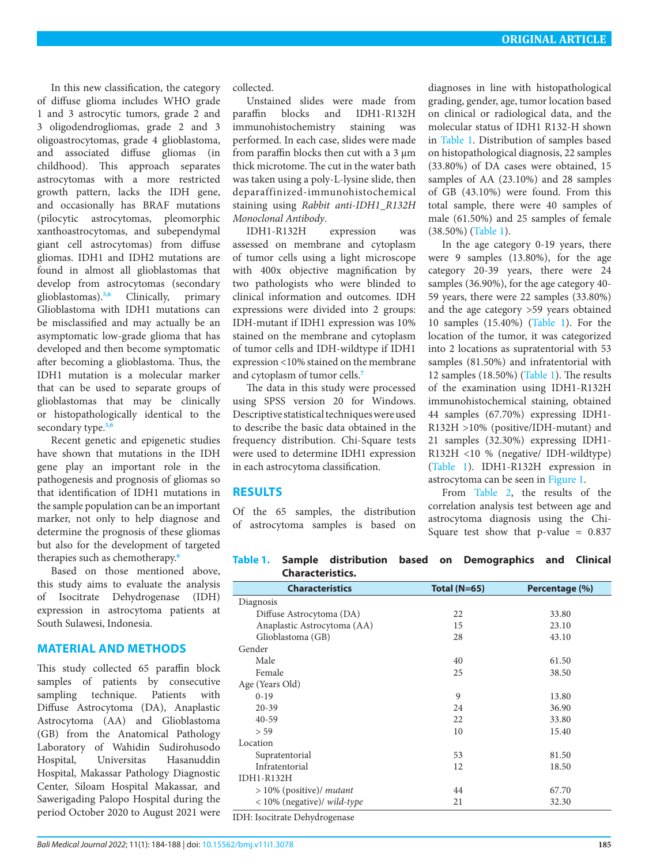In this new classification, the category of diffuse glioma includes WHO grade 1 and 3 astrocytic tumors, grade 2 and 3 oligodendrogliomas, grade 2 and 3 oligoastrocytomas, grade 4 glioblastoma, and associated diffuse gliomas (in childhood). This approach separates astrocytomas with a more restricted growth pattern, lacks the IDH gene, and occasionally has BRAF mutations (pilocytic astrocytomas, pleomorphic xanthoastrocytomas, and subependymal giant cell astrocytomas) from diffuse gliomas. IDH1 and IDH2 mutations are found in almost all glioblastomas that develop from astrocytomas (secondary glioblastomas).**[5](#page-4-4),[6](#page-4-6)** Clinically, primary Glioblastoma with IDH1 mutations can be misclassified and may actually be an asymptomatic low-grade glioma that has developed and then become symptomatic after becoming a glioblastoma. Thus, the IDH1 mutation is a molecular marker that can be used to separate groups of glioblastomas that may be clinically or histopathologically identical to the secondary type.**[5,](#page-4-4)[6](#page-4-6)**

Recent genetic and epigenetic studies have shown that mutations in the IDH gene play an important role in the pathogenesis and prognosis of gliomas so that identification of IDH1 mutations in the sample population can be an important marker, not only to help diagnose and determine the prognosis of these gliomas but also for the development of targeted therapies such as chemotherapy.**[6](#page-4-6)**

Based on those mentioned above, this study aims to evaluate the analysis of Isocitrate Dehydrogenase (IDH) expression in astrocytoma patients at South Sulawesi, Indonesia.

## **MATERIAL AND METHODS**

This study collected 65 paraffin block samples of patients by consecutive sampling technique. Patients with Diffuse Astrocytoma (DA), Anaplastic Astrocytoma (AA) and Glioblastoma (GB) from the Anatomical Pathology Laboratory of Wahidin Sudirohusodo Hospital, Universitas Hasanuddin Hospital, Makassar Pathology Diagnostic Center, Siloam Hospital Makassar, and Sawerigading Palopo Hospital during the period October 2020 to August 2021 were

Unstained slides were made from paraffin blocks and IDH1-R132H immunohistochemistry staining was performed. In each case, slides were made from paraffin blocks then cut with a 3 µm thick microtome. The cut in the water bath was taken using a poly-L-lysine slide, then deparaffinized-immunohistochemical staining using *Rabbit anti-IDH1\_R132H Monoclonal Antibody*.

IDH1-R132H expression was assessed on membrane and cytoplasm of tumor cells using a light microscope with 400x objective magnification by two pathologists who were blinded to clinical information and outcomes. IDH expressions were divided into 2 groups: IDH-mutant if IDH1 expression was 10% stained on the membrane and cytoplasm of tumor cells and IDH-wildtype if IDH1 expression <10% stained on the membrane and cytoplasm of tumor cells.**[7](#page-4-5)**

The data in this study were processed using SPSS version 20 for Windows. Descriptive statistical techniques were used to describe the basic data obtained in the frequency distribution. Chi-Square tests were used to determine IDH1 expression in each astrocytoma classification.

## **RESULTS**

Of the 65 samples, the distribution of astrocytoma samples is based on diagnoses in line with histopathological grading, gender, age, tumor location based on clinical or radiological data, and the molecular status of IDH1 R132-H shown in [Table 1.](#page-1-0) Distribution of samples based on histopathological diagnosis, 22 samples (33.80%) of DA cases were obtained, 15 samples of AA (23.10%) and 28 samples of GB (43.10%) were found. From this total sample, there were 40 samples of male (61.50%) and 25 samples of female (38.50%) ([Table 1](#page-1-0)).

In the age category 0-19 years, there were 9 samples (13.80%), for the age category 20-39 years, there were 24 samples (36.90%), for the age category 40- 59 years, there were 22 samples (33.80%) and the age category >59 years obtained 10 samples (15.40%) [\(Table 1](#page-1-0)). For the location of the tumor, it was categorized into 2 locations as supratentorial with 53 samples (81.50%) and infratentorial with 12 samples (18.50%) [\(Table 1\)](#page-1-0). The results of the examination using IDH1-R132H immunohistochemical staining, obtained 44 samples (67.70%) expressing IDH1- R132H >10% (positive/IDH-mutant) and 21 samples (32.30%) expressing IDH1- R132H <10 % (negative/ IDH-wildtype) ([Table 1\)](#page-1-0). IDH1-R132H expression in astrocytoma can be seen in [Figure 1.](#page-2-0)

From [Table 2](#page-2-1), the results of the correlation analysis test between age and astrocytoma diagnosis using the Chi-Square test show that  $p$ -value = 0.837

#### <span id="page-1-0"></span>**Table 1. Sample distribution based on Demographics and Clinical Characteristics.**

| <b>Characteristics</b>      | Total $(N=65)$ | Percentage (%) |
|-----------------------------|----------------|----------------|
| Diagnosis                   |                |                |
| Diffuse Astrocytoma (DA)    | 22             | 33.80          |
| Anaplastic Astrocytoma (AA) | 15             | 23.10          |
| Glioblastoma (GB)           | 28             | 43.10          |
| Gender                      |                |                |
| Male                        | 40             | 61.50          |
| Female                      | 25             | 38.50          |
| Age (Years Old)             |                |                |
| $0-19$                      | 9              | 13.80          |
| $20 - 39$                   | 24             | 36.90          |
| $40 - 59$                   | 22             | 33.80          |
| > 59                        | 10             | 15.40          |
| Location                    |                |                |
| Supratentorial              | 53             | 81.50          |
| Infratentorial              | 12             | 18.50          |
| IDH1-R132H                  |                |                |
| $> 10\%$ (positive)/ mutant | 44             | 67.70          |
| < 10% (negative)/ wild-type | 21             | 32.30          |

IDH: Isocitrate Dehydrogenase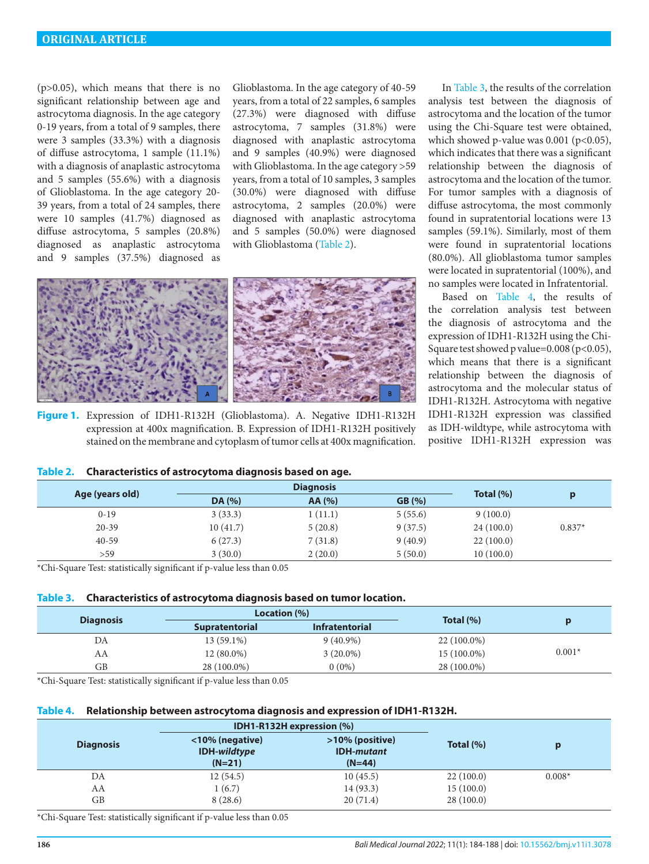(p>0.05), which means that there is no significant relationship between age and astrocytoma diagnosis. In the age category 0-19 years, from a total of 9 samples, there were 3 samples (33.3%) with a diagnosis of diffuse astrocytoma, 1 sample (11.1%) with a diagnosis of anaplastic astrocytoma and 5 samples (55.6%) with a diagnosis of Glioblastoma. In the age category 20- 39 years, from a total of 24 samples, there were 10 samples (41.7%) diagnosed as diffuse astrocytoma, 5 samples (20.8%) diagnosed as anaplastic astrocytoma and 9 samples (37.5%) diagnosed as

Glioblastoma. In the age category of 40-59 years, from a total of 22 samples, 6 samples (27.3%) were diagnosed with diffuse astrocytoma, 7 samples (31.8%) were diagnosed with anaplastic astrocytoma and 9 samples (40.9%) were diagnosed with Glioblastoma. In the age category >59 years, from a total of 10 samples, 3 samples (30.0%) were diagnosed with diffuse astrocytoma, 2 samples (20.0%) were diagnosed with anaplastic astrocytoma and 5 samples (50.0%) were diagnosed with Glioblastoma ([Table 2](#page-2-1)).



<span id="page-2-0"></span>**Figure 1.** Expression of IDH1-R132H (Glioblastoma). A. Negative IDH1-R132H expression at 400x magnification. B. Expression of IDH1-R132H positively stained on the membrane and cytoplasm of tumor cells at 400x magnification.

In [Table 3](#page-2-2), the results of the correlation analysis test between the diagnosis of astrocytoma and the location of the tumor using the Chi-Square test were obtained, which showed p-value was  $0.001$  (p<0.05), which indicates that there was a significant relationship between the diagnosis of astrocytoma and the location of the tumor. For tumor samples with a diagnosis of diffuse astrocytoma, the most commonly found in supratentorial locations were 13 samples (59.1%). Similarly, most of them were found in supratentorial locations (80.0%). All glioblastoma tumor samples were located in supratentorial (100%), and no samples were located in Infratentorial.

Based on [Table 4](#page-2-3), the results of the correlation analysis test between the diagnosis of astrocytoma and the expression of IDH1-R132H using the Chi-Square test showed p value=0.008 (p<0.05), which means that there is a significant relationship between the diagnosis of astrocytoma and the molecular status of IDH1-R132H. Astrocytoma with negative IDH1-R132H expression was classified as IDH-wildtype, while astrocytoma with positive IDH1-R132H expression was

<span id="page-2-1"></span>

|  |  | Table 2. Characteristics of astrocytoma diagnosis based on age. |
|--|--|-----------------------------------------------------------------|
|--|--|-----------------------------------------------------------------|

| Age (years old) | <b>Diagnosis</b> |         |         |           |          |
|-----------------|------------------|---------|---------|-----------|----------|
|                 | <b>DA</b> (%)    | AA (%)  | GB(%)   | Total (%) | D        |
| $0-19$          | 3(33.3)          | 1(11.1) | 5(55.6) | 9(100.0)  |          |
| $20 - 39$       | 10(41.7)         | 5(20.8) | 9(37.5) | 24(100.0) | $0.837*$ |
| $40 - 59$       | 6(27.3)          | 7(31.8) | 9(40.9) | 22(100.0) |          |
| >59             | 3(30.0)          | 2(20.0) | 5(50.0) | 10(100.0) |          |

\*Chi-Square Test: statistically significant if p-value less than 0.05

#### <span id="page-2-2"></span>**Table 3. Characteristics of astrocytoma diagnosis based on tumor location.**

| <b>Diagnosis</b> | Location (%)          |                       |               |          |
|------------------|-----------------------|-----------------------|---------------|----------|
|                  | <b>Supratentorial</b> | <b>Infratentorial</b> | Total $(\% )$ |          |
| DA               | 13 (59.1%)            | $9(40.9\%)$           | $22(100.0\%)$ |          |
| AA               | $12(80.0\%)$          | $3(20.0\%)$           | $15(100.0\%)$ | $0.001*$ |
| GВ               | 28 (100.0%)           | $0(0\%)$              | 28 (100.0%)   |          |

\*Chi-Square Test: statistically significant if p-value less than 0.05

#### <span id="page-2-3"></span>**Table 4. Relationship between astrocytoma diagnosis and expression of IDH1-R132H.**

|                  | IDH1-R132H expression (%)                                |                                                     |              |          |
|------------------|----------------------------------------------------------|-----------------------------------------------------|--------------|----------|
| <b>Diagnosis</b> | $\leq$ 10% (negative)<br><b>IDH-wildtype</b><br>$(N=21)$ | $>10\%$ (positive)<br><b>IDH-mutant</b><br>$(N=44)$ | Total $(% )$ | D        |
| DA               | 12(54.5)                                                 | 10(45.5)                                            | 22(100.0)    | $0.008*$ |
| AA               | 1(6.7)                                                   | 14(93.3)                                            | 15(100.0)    |          |
| GВ               | 8(28.6)                                                  | 20(71.4)                                            | 28(100.0)    |          |

\*Chi-Square Test: statistically significant if p-value less than 0.05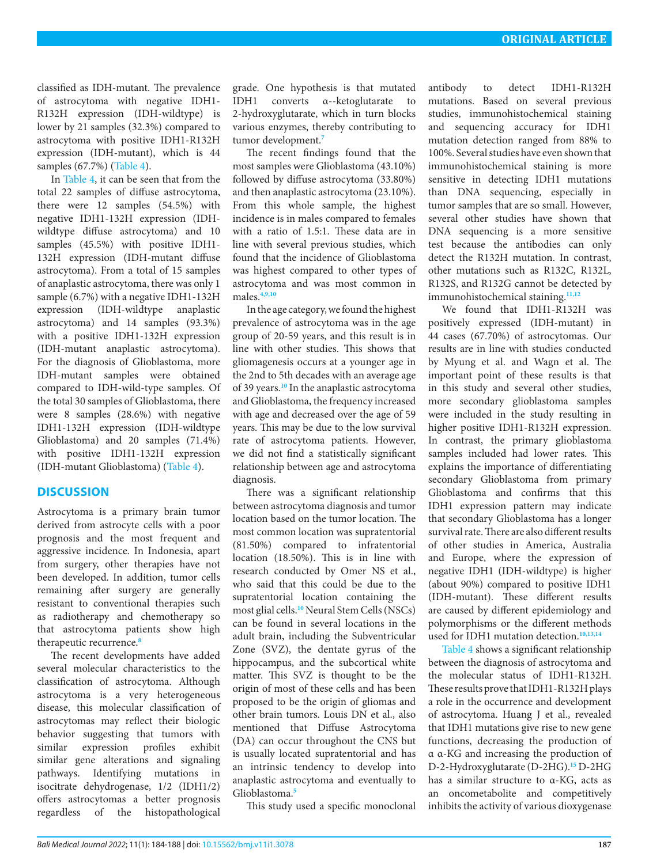classified as IDH-mutant. The prevalence of astrocytoma with negative IDH1- R132H expression (IDH-wildtype) is lower by 21 samples (32.3%) compared to astrocytoma with positive IDH1-R132H expression (IDH-mutant), which is 44 samples (67.7%) ([Table 4](#page-2-3)).

In [Table 4,](#page-2-3) it can be seen that from the total 22 samples of diffuse astrocytoma, there were 12 samples (54.5%) with negative IDH1-132H expression (IDHwildtype diffuse astrocytoma) and 10 samples (45.5%) with positive IDH1- 132H expression (IDH-mutant diffuse astrocytoma). From a total of 15 samples of anaplastic astrocytoma, there was only 1 sample (6.7%) with a negative IDH1-132H expression (IDH-wildtype anaplastic astrocytoma) and 14 samples (93.3%) with a positive IDH1-132H expression (IDH-mutant anaplastic astrocytoma). For the diagnosis of Glioblastoma, more IDH-mutant samples were obtained compared to IDH-wild-type samples. Of the total 30 samples of Glioblastoma, there were 8 samples (28.6%) with negative IDH1-132H expression (IDH-wildtype Glioblastoma) and 20 samples (71.4%) with positive IDH1-132H expression (IDH-mutant Glioblastoma) [\(Table 4\)](#page-2-3).

## **DISCUSSION**

Astrocytoma is a primary brain tumor derived from astrocyte cells with a poor prognosis and the most frequent and aggressive incidence. In Indonesia, apart from surgery, other therapies have not been developed. In addition, tumor cells remaining after surgery are generally resistant to conventional therapies such as radiotherapy and chemotherapy so that astrocytoma patients show high therapeutic recurrence.**[8](#page-4-7)**

The recent developments have added several molecular characteristics to the classification of astrocytoma. Although astrocytoma is a very heterogeneous disease, this molecular classification of astrocytomas may reflect their biologic behavior suggesting that tumors with similar expression profiles exhibit similar gene alterations and signaling pathways. Identifying mutations in isocitrate dehydrogenase, 1/2 (IDH1/2) offers astrocytomas a better prognosis regardless of the histopathological

grade. One hypothesis is that mutated IDH1 converts α--ketoglutarate to 2-hydroxyglutarate, which in turn blocks various enzymes, thereby contributing to tumor development.**[7](#page-4-5)**

The recent findings found that the most samples were Glioblastoma (43.10%) followed by diffuse astrocytoma (33.80%) and then anaplastic astrocytoma (23.10%). From this whole sample, the highest incidence is in males compared to females with a ratio of 1.5:1. These data are in line with several previous studies, which found that the incidence of Glioblastoma was highest compared to other types of astrocytoma and was most common in males.**[4](#page-4-3)[,9](#page-4-8),[10](#page-4-9)**

In the age category, we found the highest prevalence of astrocytoma was in the age group of 20-59 years, and this result is in line with other studies. This shows that gliomagenesis occurs at a younger age in the 2nd to 5th decades with an average age of 39 years.**[10](#page-4-9)** In the anaplastic astrocytoma and Glioblastoma, the frequency increased with age and decreased over the age of 59 years. This may be due to the low survival rate of astrocytoma patients. However, we did not find a statistically significant relationship between age and astrocytoma diagnosis.

There was a significant relationship between astrocytoma diagnosis and tumor location based on the tumor location. The most common location was supratentorial (81.50%) compared to infratentorial location (18.50%). This is in line with research conducted by Omer NS et al., who said that this could be due to the supratentorial location containing the most glial cells.**[10](#page-4-9)** Neural Stem Cells (NSCs) can be found in several locations in the adult brain, including the Subventricular Zone (SVZ), the dentate gyrus of the hippocampus, and the subcortical white matter. This SVZ is thought to be the origin of most of these cells and has been proposed to be the origin of gliomas and other brain tumors. Louis DN et al., also mentioned that Diffuse Astrocytoma (DA) can occur throughout the CNS but is usually located supratentorial and has an intrinsic tendency to develop into anaplastic astrocytoma and eventually to Glioblastoma.**[5](#page-4-4)**

This study used a specific monoclonal

antibody to detect IDH1-R132H mutations. Based on several previous studies, immunohistochemical staining and sequencing accuracy for IDH1 mutation detection ranged from 88% to 100%. Several studies have even shown that immunohistochemical staining is more sensitive in detecting IDH1 mutations than DNA sequencing, especially in tumor samples that are so small. However, several other studies have shown that DNA sequencing is a more sensitive test because the antibodies can only detect the R132H mutation. In contrast, other mutations such as R132C, R132L, R132S, and R132G cannot be detected by immunohistochemical staining.**[11,](#page-4-10)[12](#page-4-11)**

We found that IDH1-R132H was positively expressed (IDH-mutant) in 44 cases (67.70%) of astrocytomas. Our results are in line with studies conducted by Myung et al. and Wagn et al. The important point of these results is that in this study and several other studies, more secondary glioblastoma samples were included in the study resulting in higher positive IDH1-R132H expression. In contrast, the primary glioblastoma samples included had lower rates. This explains the importance of differentiating secondary Glioblastoma from primary Glioblastoma and confirms that this IDH1 expression pattern may indicate that secondary Glioblastoma has a longer survival rate. There are also different results of other studies in America, Australia and Europe, where the expression of negative IDH1 (IDH-wildtype) is higher (about 90%) compared to positive IDH1 (IDH-mutant). These different results are caused by different epidemiology and polymorphisms or the different methods used for IDH1 mutation detection.**[10,](#page-4-9)[13](#page-4-12)[,14](#page-4-13)**

[Table 4](#page-2-3) shows a significant relationship between the diagnosis of astrocytoma and the molecular status of IDH1-R132H. These results prove that IDH1-R132H plays a role in the occurrence and development of astrocytoma. Huang J et al., revealed that IDH1 mutations give rise to new gene functions, decreasing the production of α α-KG and increasing the production of D-2-Hydroxyglutarate (D-2HG).**[15](#page-4-14)** D-2HG has a similar structure to α-KG, acts as an oncometabolite and competitively inhibits the activity of various dioxygenase